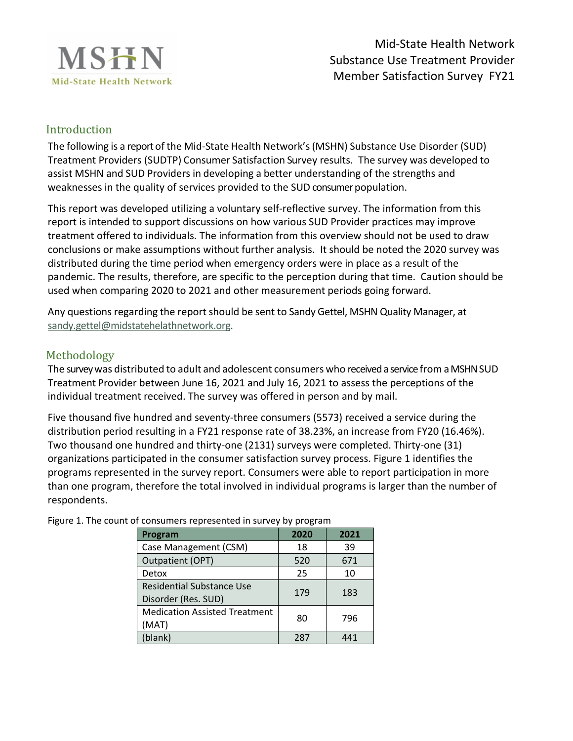

# Introduction

The following is a reportof the Mid-State Health Network's(MSHN) Substance Use Disorder (SUD) Treatment Providers (SUDTP) Consumer Satisfaction Survey results. The survey was developed to assist MSHN and SUD Providers in developing a better understanding of the strengths and weaknesses in the quality of services provided to the SUD consumer population.

This report was developed utilizing a voluntary self-reflective survey. The information from this report is intended to support discussions on how various SUD Provider practices may improve treatment offered to individuals. The information from this overview should not be used to draw conclusions or make assumptions without further analysis. It should be noted the 2020 survey was distributed during the time period when emergency orders were in place as a result of the pandemic. The results, therefore, are specific to the perception during that time. Caution should be used when comparing 2020 to 2021 and other measurement periods going forward.

Any questions regarding the report should be sent to Sandy Gettel, MSHN Quality Manager, at [sandy.gettel@midstatehelathnetwork.org.](mailto:sandy.gettel@midstatehelathnetwork.org)

## Methodology

The surveywas distributed to adult and adolescent consumers who received a servicefrom a MSHN SUD Treatment Provider between June 16, 2021 and July 16, 2021 to assess the perceptions of the individual treatment received. The survey was offered in person and by mail.

Five thousand five hundred and seventy-three consumers (5573) received a service during the distribution period resulting in a FY21 response rate of 38.23%, an increase from FY20 (16.46%). Two thousand one hundred and thirty-one (2131) surveys were completed. Thirty-one (31) organizations participated in the consumer satisfaction survey process. Figure 1 identifies the programs represented in the survey report. Consumers were able to report participation in more than one program, therefore the total involved in individual programs is larger than the number of respondents.

| Program                                          | 2020 | 2021 |  |  |  |
|--------------------------------------------------|------|------|--|--|--|
| Case Management (CSM)                            | 18   | 39   |  |  |  |
| Outpatient (OPT)                                 | 520  | 671  |  |  |  |
| Detox                                            | 25   | 10   |  |  |  |
| Residential Substance Use<br>Disorder (Res. SUD) | 179  | 183  |  |  |  |
| <b>Medication Assisted Treatment</b><br>(MAT)    | 80   | 796  |  |  |  |
| (blank)                                          | 287  |      |  |  |  |

Figure 1. The count of consumers represented in survey by program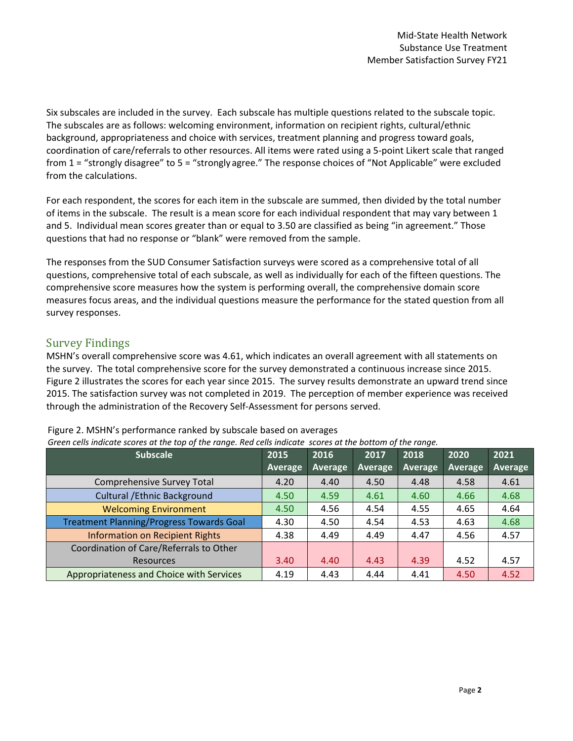Six subscales are included in the survey. Each subscale has multiple questions related to the subscale topic. The subscales are as follows: welcoming environment, information on recipient rights, cultural/ethnic background, appropriateness and choice with services, treatment planning and progress toward goals, coordination of care/referrals to other resources. All items were rated using a 5-point Likert scale that ranged from 1 = "strongly disagree" to 5 = "strongly agree." The response choices of "Not Applicable" were excluded from the calculations.

For each respondent, the scores for each item in the subscale are summed, then divided by the total number of items in the subscale. The result is a mean score for each individual respondent that may vary between 1 and 5. Individual mean scores greater than or equal to 3.50 are classified as being "in agreement." Those questions that had no response or "blank" were removed from the sample.

The responses from the SUD Consumer Satisfaction surveys were scored as a comprehensive total of all questions, comprehensive total of each subscale, as well as individually for each of the fifteen questions. The comprehensive score measures how the system is performing overall, the comprehensive domain score measures focus areas, and the individual questions measure the performance for the stated question from all survey responses.

## Survey Findings

MSHN's overall comprehensive score was 4.61, which indicates an overall agreement with all statements on the survey. The total comprehensive score for the survey demonstrated a continuous increase since 2015. Figure 2 illustrates the scores for each year since 2015. The survey results demonstrate an upward trend since 2015. The satisfaction survey was not completed in 2019. The perception of member experience was received through the administration of the Recovery Self-Assessment for persons served.

| <b>Subscale</b>                                 | 2015           | 2016<br>2017   |         | 2018    | 2020    | 2021    |
|-------------------------------------------------|----------------|----------------|---------|---------|---------|---------|
|                                                 | <b>Average</b> | <b>Average</b> | Average | Average | Average | Average |
| Comprehensive Survey Total                      | 4.20           | 4.40           | 4.50    | 4.48    | 4.58    | 4.61    |
| <b>Cultural / Ethnic Background</b>             | 4.50           | 4.59           | 4.61    | 4.60    | 4.66    | 4.68    |
| <b>Welcoming Environment</b>                    | 4.50           | 4.56           | 4.54    | 4.55    | 4.65    | 4.64    |
| <b>Treatment Planning/Progress Towards Goal</b> | 4.30           | 4.50           | 4.54    | 4.53    | 4.63    | 4.68    |
| <b>Information on Recipient Rights</b>          | 4.38           | 4.49           | 4.49    | 4.47    | 4.56    | 4.57    |
| Coordination of Care/Referrals to Other         |                |                |         |         |         |         |
| <b>Resources</b>                                | 3.40           | 4.40           | 4.43    | 4.39    | 4.52    | 4.57    |
| Appropriateness and Choice with Services        | 4.19           | 4.43           | 4.44    | 4.41    | 4.50    | 4.52    |

Figure 2. MSHN's performance ranked by subscale based on averages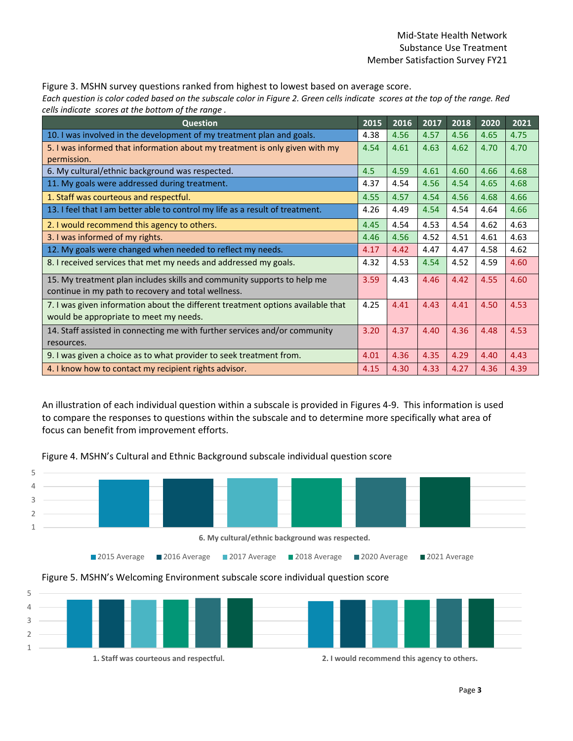Figure 3. MSHN survey questions ranked from highest to lowest based on average score.  *Each question is color coded based on the subscale color in Figure 2. Green cells indicate scores at the top of the range. Red cells indicate scores at the bottom of the range .*

| <b>Question</b>                                                                                                                | 2015 | 2016 | 2017 | 2018 | 2020 | 2021 |
|--------------------------------------------------------------------------------------------------------------------------------|------|------|------|------|------|------|
| 10. I was involved in the development of my treatment plan and goals.                                                          | 4.38 | 4.56 | 4.57 | 4.56 | 4.65 | 4.75 |
| 5. I was informed that information about my treatment is only given with my<br>permission.                                     | 4.54 | 4.61 | 4.63 | 4.62 | 4.70 | 4.70 |
| 6. My cultural/ethnic background was respected.                                                                                | 4.5  | 4.59 | 4.61 | 4.60 | 4.66 | 4.68 |
| 11. My goals were addressed during treatment.                                                                                  | 4.37 | 4.54 | 4.56 | 4.54 | 4.65 | 4.68 |
| 1. Staff was courteous and respectful.                                                                                         | 4.55 | 4.57 | 4.54 | 4.56 | 4.68 | 4.66 |
| 13. I feel that I am better able to control my life as a result of treatment.                                                  | 4.26 | 4.49 | 4.54 | 4.54 | 4.64 | 4.66 |
| 2. I would recommend this agency to others.                                                                                    | 4.45 | 4.54 | 4.53 | 4.54 | 4.62 | 4.63 |
| 3. I was informed of my rights.                                                                                                | 4.46 | 4.56 | 4.52 | 4.51 | 4.61 | 4.63 |
| 12. My goals were changed when needed to reflect my needs.                                                                     | 4.17 | 4.42 | 4.47 | 4.47 | 4.58 | 4.62 |
| 8. I received services that met my needs and addressed my goals.                                                               | 4.32 | 4.53 | 4.54 | 4.52 | 4.59 | 4.60 |
| 15. My treatment plan includes skills and community supports to help me<br>continue in my path to recovery and total wellness. | 3.59 | 4.43 | 4.46 | 4.42 | 4.55 | 4.60 |
| 7. I was given information about the different treatment options available that<br>would be appropriate to meet my needs.      |      | 4.41 | 4.43 | 4.41 | 4.50 | 4.53 |
| 14. Staff assisted in connecting me with further services and/or community<br>resources.                                       |      | 4.37 | 4.40 | 4.36 | 4.48 | 4.53 |
| 9. I was given a choice as to what provider to seek treatment from.                                                            | 4.01 | 4.36 | 4.35 | 4.29 | 4.40 | 4.43 |
| 4. I know how to contact my recipient rights advisor.                                                                          | 4.15 | 4.30 | 4.33 | 4.27 | 4.36 | 4.39 |

An illustration of each individual question within a subscale is provided in Figures 4-9. This information is used to compare the responses to questions within the subscale and to determine more specifically what area of focus can benefit from improvement efforts.



Figure 4. MSHN's Cultural and Ethnic Background subscale individual question score

#### Figure 5. MSHN's Welcoming Environment subscale score individual question score

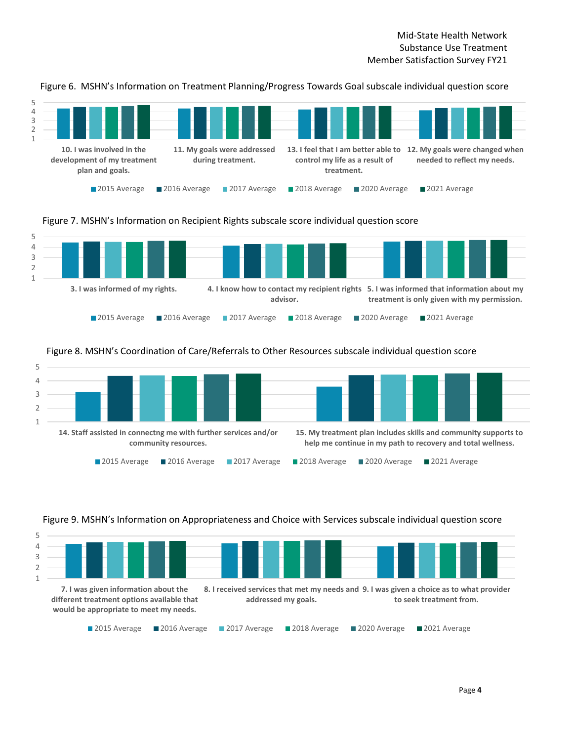1 2 3 4 5 **10. I was involved in the development of my treatment plan and goals. 11. My goals were addressed during treatment. 13. I feel that I am better able to 12. My goals were changed when control my life as a result of treatment. needed to reflect my needs.** ■ 2015 Average ■ 2016 Average ■ 2017 Average ■ 2018 Average ■ 2020 Average ■ 2021 Average

Figure 6. MSHN's Information on Treatment Planning/Progress Towards Goal subscale individual question score

#### Figure 7. MSHN's Information on Recipient Rights subscale score individual question score



#### Figure 8. MSHN's Coordination of Care/Referrals to Other Resources subscale individual question score



#### Figure 9. MSHN's Information on Appropriateness and Choice with Services subscale individual question score

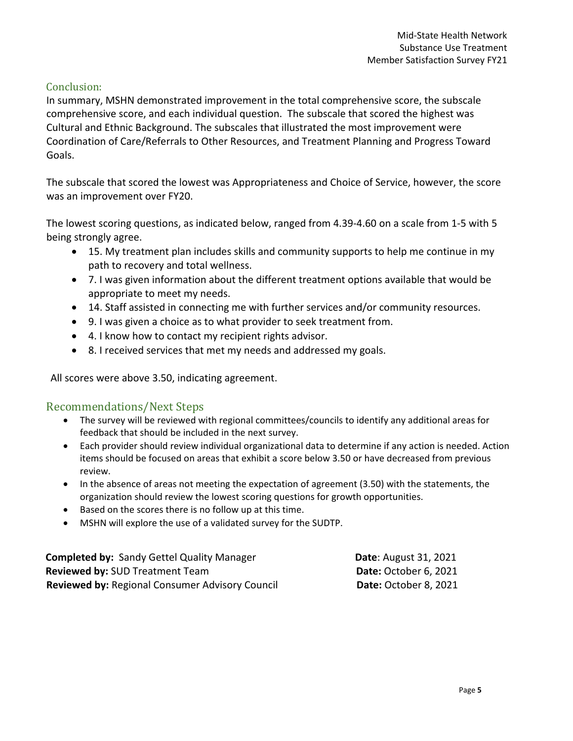### Conclusion:

In summary, MSHN demonstrated improvement in the total comprehensive score, the subscale comprehensive score, and each individual question. The subscale that scored the highest was Cultural and Ethnic Background. The subscales that illustrated the most improvement were Coordination of Care/Referrals to Other Resources, and Treatment Planning and Progress Toward Goals.

The subscale that scored the lowest was Appropriateness and Choice of Service, however, the score was an improvement over FY20.

The lowest scoring questions, as indicated below, ranged from 4.39-4.60 on a scale from 1-5 with 5 being strongly agree.

- 15. My treatment plan includes skills and community supports to help me continue in my path to recovery and total wellness.
- 7. I was given information about the different treatment options available that would be appropriate to meet my needs.
- 14. Staff assisted in connecting me with further services and/or community resources.
- 9. I was given a choice as to what provider to seek treatment from.
- 4. I know how to contact my recipient rights advisor.
- 8. I received services that met my needs and addressed my goals.

All scores were above 3.50, indicating agreement.

# Recommendations/Next Steps

- The survey will be reviewed with regional committees/councils to identify any additional areas for feedback that should be included in the next survey.
- Each provider should review individual organizational data to determine if any action is needed. Action items should be focused on areas that exhibit a score below 3.50 or have decreased from previous review.
- In the absence of areas not meeting the expectation of agreement (3.50) with the statements, the organization should review the lowest scoring questions for growth opportunities.
- Based on the scores there is no follow up at this time.
- MSHN will explore the use of a validated survey for the SUDTP.

| <b>Completed by: Sandy Gettel Quality Manager</b>      | <b>Date: August 31, 2021</b> |
|--------------------------------------------------------|------------------------------|
| <b>Reviewed by: SUD Treatment Team</b>                 | Date: October 6, 2021        |
| <b>Reviewed by: Regional Consumer Advisory Council</b> | Date: October 8, 2021        |